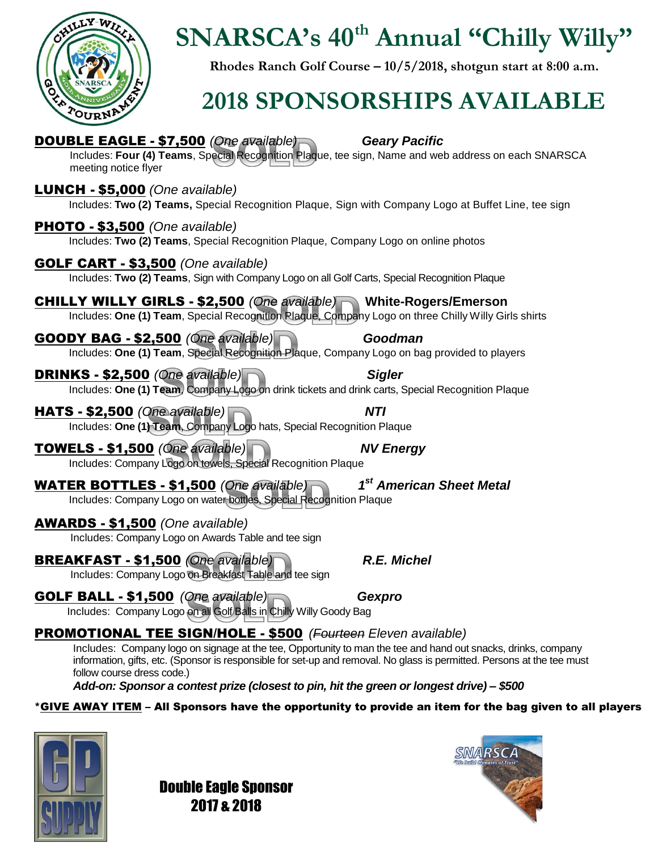

## **SNARSCA's 40th Annual "Chilly Willy"**

**Rhodes Ranch Golf Course – 10/5/2018, shotgun start at 8:00 a.m.**

## **2018 SPONSORSHIPS AVAILABLE**

| <b>DOUBLE EAGLE - \$7,500</b> (One available)<br><b>Geary Pacific</b><br>Includes: Four (4) Teams, Special Recognition Plaque, tee sign, Name and web address on each SNARSCA<br>meeting notice flyer                                                                                                                                                                                                                                      |
|--------------------------------------------------------------------------------------------------------------------------------------------------------------------------------------------------------------------------------------------------------------------------------------------------------------------------------------------------------------------------------------------------------------------------------------------|
| LUNCH - \$5,000 (One available)<br>Includes: Two (2) Teams, Special Recognition Plaque, Sign with Company Logo at Buffet Line, tee sign                                                                                                                                                                                                                                                                                                    |
| <b>PHOTO - \$3,500</b> (One available)<br>Includes: Two (2) Teams, Special Recognition Plaque, Company Logo on online photos                                                                                                                                                                                                                                                                                                               |
| <b>GOLF CART - \$3,500</b> (One available)<br>Includes: Two (2) Teams, Sign with Company Logo on all Golf Carts, Special Recognition Plaque                                                                                                                                                                                                                                                                                                |
| <b>CHILLY WILLY GIRLS - \$2,500</b> (One available) White-Rogers/Emerson<br>Includes: One (1) Team, Special Recognition Plaque, Company Logo on three Chilly Willy Girls shirts                                                                                                                                                                                                                                                            |
| <b>GOODY BAG - \$2,500 (One available)</b><br>Goodman<br>Includes: One (1) Team, Special Recognition Plaque, Company Logo on bag provided to players                                                                                                                                                                                                                                                                                       |
| <b>DRINKS - \$2,500 (One available)</b><br><b>Sigler</b><br>Includes: One (1) Team, Company Logo on drink tickets and drink carts, Special Recognition Plaque                                                                                                                                                                                                                                                                              |
| <b>NTI</b><br><b>HATS - \$2,500</b> (One available)<br>Includes: One (1) Team, Company Logo hats, Special Recognition Plaque                                                                                                                                                                                                                                                                                                               |
| TOWELS - \$1,500 (One available)<br><b>NV Energy</b><br>Includes: Company Logo on towels, Special Recognition Plaque                                                                                                                                                                                                                                                                                                                       |
| 1 <sup>st</sup> American Sheet Metal<br><b>WATER BOTTLES - \$1,500 (One available</b><br>Includes: Company Logo on water bottles, Special Recognition Plaque                                                                                                                                                                                                                                                                               |
| <b>AWARDS - \$1,500</b> (One available)<br>Includes: Company Logo on Awards Table and tee sign                                                                                                                                                                                                                                                                                                                                             |
| <b>BREAKFAST - \$1,500 (One available)</b><br><b>R.E. Michel</b><br>Includes: Company Logo on Breakfast Table and tee sign                                                                                                                                                                                                                                                                                                                 |
| <b>GOLF BALL - \$1,500</b> (One available)<br>Includes: Company Logo on all Golf Balls in Chilly Willy Goody Bag<br>Gexpro                                                                                                                                                                                                                                                                                                                 |
| <b>PROMOTIONAL TEE SIGN/HOLE - \$500</b> (Fourteen Eleven available)<br>Includes: Company logo on signage at the tee, Opportunity to man the tee and hand out snacks, drinks, company<br>information, gifts, etc. (Sponsor is responsible for set-up and removal. No glass is permitted. Persons at the tee must<br>follow course dress code.)<br>Add-on: Sponsor a contest prize (closest to pin, hit the green or longest drive) – \$500 |
| *GIVE AWAY ITEM – All Sponsors have the opportunity to provide an item for the bag given to all players                                                                                                                                                                                                                                                                                                                                    |



Double Eagle Sponsor 2017 & 2018